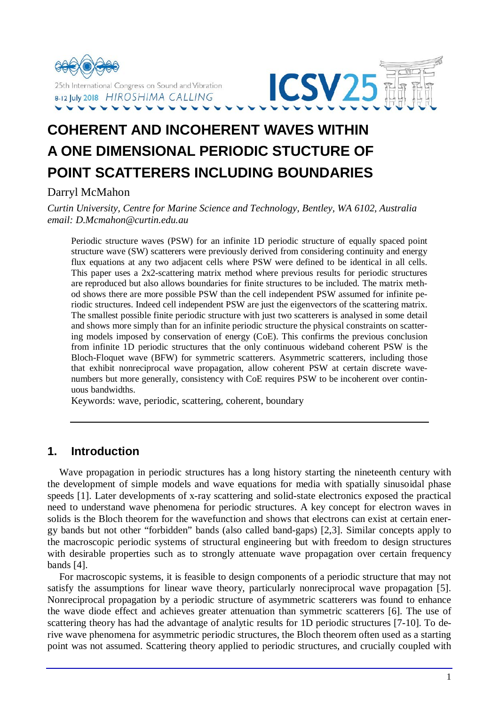



# **COHERENT AND INCOHERENT WAVES WITHIN A ONE DIMENSIONAL PERIODIC STUCTURE OF POINT SCATTERERS INCLUDING BOUNDARIES**

Darryl McMahon

*Curtin University, Centre for Marine Science and Technology, Bentley, WA 6102, Australia email: D.Mcmahon@curtin.edu.au*

Periodic structure waves (PSW) for an infinite 1D periodic structure of equally spaced point structure wave (SW) scatterers were previously derived from considering continuity and energy flux equations at any two adjacent cells where PSW were defined to be identical in all cells. This paper uses a 2x2-scattering matrix method where previous results for periodic structures are reproduced but also allows boundaries for finite structures to be included. The matrix method shows there are more possible PSW than the cell independent PSW assumed for infinite periodic structures. Indeed cell independent PSW are just the eigenvectors of the scattering matrix. The smallest possible finite periodic structure with just two scatterers is analysed in some detail and shows more simply than for an infinite periodic structure the physical constraints on scattering models imposed by conservation of energy (CoE). This confirms the previous conclusion from infinite 1D periodic structures that the only continuous wideband coherent PSW is the Bloch-Floquet wave (BFW) for symmetric scatterers. Asymmetric scatterers, including those that exhibit nonreciprocal wave propagation, allow coherent PSW at certain discrete wavenumbers but more generally, consistency with CoE requires PSW to be incoherent over continuous bandwidths.

Keywords: wave, periodic, scattering, coherent, boundary

## **1. Introduction**

Wave propagation in periodic structures has a long history starting the nineteenth century with the development of simple models and wave equations for media with spatially sinusoidal phase speeds [1]. Later developments of x-ray scattering and solid-state electronics exposed the practical need to understand wave phenomena for periodic structures. A key concept for electron waves in solids is the Bloch theorem for the wavefunction and shows that electrons can exist at certain energy bands but not other "forbidden" bands (also called band-gaps) [2,3]. Similar concepts apply to the macroscopic periodic systems of structural engineering but with freedom to design structures with desirable properties such as to strongly attenuate wave propagation over certain frequency bands [4].

For macroscopic systems, it is feasible to design components of a periodic structure that may not satisfy the assumptions for linear wave theory, particularly nonreciprocal wave propagation [5]. Nonreciprocal propagation by a periodic structure of asymmetric scatterers was found to enhance the wave diode effect and achieves greater attenuation than symmetric scatterers [6]. The use of scattering theory has had the advantage of analytic results for 1D periodic structures [7-10]. To derive wave phenomena for asymmetric periodic structures, the Bloch theorem often used as a starting point was not assumed. Scattering theory applied to periodic structures, and crucially coupled with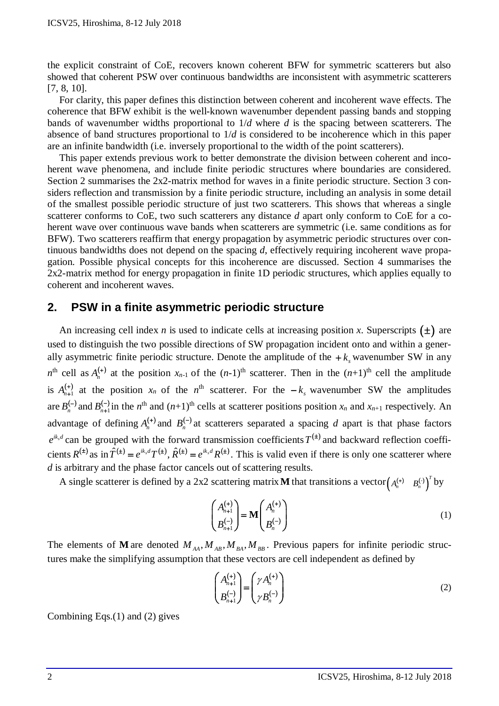the explicit constraint of CoE, recovers known coherent BFW for symmetric scatterers but also showed that coherent PSW over continuous bandwidths are inconsistent with asymmetric scatterers [7, 8, 10].

For clarity, this paper defines this distinction between coherent and incoherent wave effects. The coherence that BFW exhibit is the well-known wavenumber dependent passing bands and stopping bands of wavenumber widths proportional to 1/*d* where *d* is the spacing between scatterers. The absence of band structures proportional to 1/*d* is considered to be incoherence which in this paper are an infinite bandwidth (i.e. inversely proportional to the width of the point scatterers).

This paper extends previous work to better demonstrate the division between coherent and incoherent wave phenomena, and include finite periodic structures where boundaries are considered. Section 2 summarises the 2x2-matrix method for waves in a finite periodic structure. Section 3 considers reflection and transmission by a finite periodic structure, including an analysis in some detail of the smallest possible periodic structure of just two scatterers. This shows that whereas a single scatterer conforms to CoE, two such scatterers any distance *d* apart only conform to CoE for a coherent wave over continuous wave bands when scatterers are symmetric (i.e. same conditions as for BFW). Two scatterers reaffirm that energy propagation by asymmetric periodic structures over continuous bandwidths does not depend on the spacing *d*, effectively requiring incoherent wave propagation. Possible physical concepts for this incoherence are discussed. Section 4 summarises the 2x2-matrix method for energy propagation in finite 1D periodic structures, which applies equally to coherent and incoherent waves.

## **2. PSW in a finite asymmetric periodic structure**

An increasing cell index *n* is used to indicate cells at increasing position *x*. Superscripts  $(\pm)$  are used to distinguish the two possible directions of SW propagation incident onto and within a generally asymmetric finite periodic structure. Denote the amplitude of the  $+k_{\rm s}$  wavenumber SW in any  $n^{\text{th}}$  cell as  $A_n^{(+)}$  at the position  $x_{n-1}$  of the  $(n-1)^{\text{th}}$  scatterer. Then in the  $(n+1)^{\text{th}}$  cell the amplitude is  $A_{n+1}^{(+)}$  at the position  $x_n$  of the  $n^{\text{th}}$  scatterer. For the  $-k_s$  wavenumber SW the amplitudes are  $B_n^{(-)}$  and  $B_{n+1}^{(-)}$  in the *n*<sup>th</sup> and  $(n+1)$ <sup>th</sup> cells at scatterer positions position  $x_n$  and  $x_{n+1}$  respectively. An advantage of defining  $A_n^{(+)}$  and  $B_n^{(-)}$  at scatterers separated a spacing *d* apart is that phase factors  $e^{ik_x d}$  can be grouped with the forward transmission coefficients  $T^{(\pm)}$  and backward reflection coefficients  $R^{(\pm)}$  as in  $\hat{T}^{(\pm)} = e^{ik_x d} T^{(\pm)}$ ,  $\hat{R}^{(\pm)} = e^{ik_x d} R^{(\pm)}$ . This is valid even if there is only one scatterer where *d* is arbitrary and the phase factor cancels out of scattering results.

A single scatterer is defined by a 2x2 scattering matrix **M** that transitions a vector  $\begin{pmatrix} A_n^{(+)} & B_n^{(-)} \end{pmatrix}^T$  by

$$
\begin{pmatrix} A_{n+1}^{(+)} \\ B_{n+1}^{(-)} \end{pmatrix} = \mathbf{M} \begin{pmatrix} A_n^{(+)} \\ B_n^{(-)} \end{pmatrix}
$$
\n(1)

The elements of **M** are denoted  $M_{AA}$ ,  $M_{AB}$ ,  $M_{BA}$ ,  $M_{BB}$ . Previous papers for infinite periodic structures make the simplifying assumption that these vectors are cell independent as defined by

$$
\begin{pmatrix} A_{n+1}^{(+)} \\ B_{n+1}^{(-)} \end{pmatrix} = \begin{pmatrix} \gamma A_n^{(+)} \\ \gamma B_n^{(-)} \end{pmatrix}
$$
 (2)

Combining Eqs.(1) and (2) gives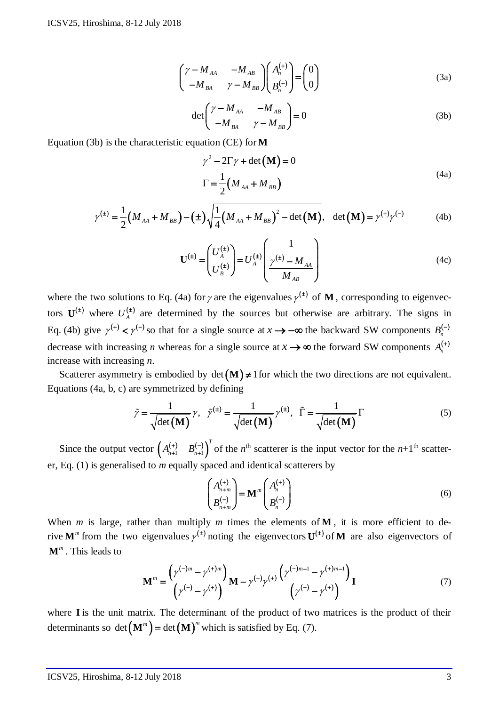$$
\begin{pmatrix}\n\gamma - M_{AA} & -M_{AB} \\
-M_{BA} & \gamma - M_{BB}\n\end{pmatrix}\n\begin{pmatrix}\nA_n^{(+)} \\
B_n^{(-)}\n\end{pmatrix} =\n\begin{pmatrix}\n0 \\
0\n\end{pmatrix}
$$
\n(3a)

$$
\det \begin{pmatrix} \gamma - M_{AA} & -M_{AB} \\ -M_{BA} & \gamma - M_{BB} \end{pmatrix} = 0
$$
 (3b)

Equation (3b) is the characteristic equation (CE) for**M**

$$
\gamma^2 - 2\Gamma \gamma + \det(\mathbf{M}) = 0
$$
  

$$
\Gamma = \frac{1}{2} (M_{AA} + M_{BB})
$$
 (4a)

$$
\gamma^{(\pm)} = \frac{1}{2} \left( M_{AA} + M_{BB} \right) - (\pm) \sqrt{\frac{1}{4} \left( M_{AA} + M_{BB} \right)^2 - \det(\mathbf{M})}, \quad \det(\mathbf{M}) = \gamma^{(\pm)} \gamma^{(-)} \tag{4b}
$$

$$
\mathbf{U}^{(\pm)} = \begin{pmatrix} U_A^{(\pm)} \\ U_B^{(\pm)} \end{pmatrix} = U_A^{(\pm)} \begin{pmatrix} 1 \\ \gamma^{(\pm)} - M_{AA} \\ M_{AB} \end{pmatrix}
$$
(4c)

where the two solutions to Eq. (4a) for  $\gamma$  are the eigenvalues  $\gamma^{(t)}$  of **M**, corresponding to eigenvectors  $U^{(\pm)}$  where  $U_A^{(\pm)}$  are determined by the sources but otherwise are arbitrary. The signs in Eq. (4b) give  $\gamma^{(+)} < \gamma^{(-)}$  so that for a single source at  $x \to -\infty$  the backward SW components  $B_n^{(-)}$ decrease with increasing *n* whereas for a single source at  $x \rightarrow \infty$  the forward SW components  $A_n^{(+)}$ increase with increasing *n*.

Scatterer asymmetry is embodied by  $det(M) \neq 1$  for which the two directions are not equivalent. Equations (4a, b, c) are symmetrized by defining

$$
\tilde{\gamma} = \frac{1}{\sqrt{\det(\mathbf{M})}} \gamma, \quad \tilde{\gamma}^{(\pm)} = \frac{1}{\sqrt{\det(\mathbf{M})}} \gamma^{(\pm)}, \quad \tilde{\Gamma} = \frac{1}{\sqrt{\det(\mathbf{M})}} \Gamma
$$
\n(5)

Since the output vector  $\begin{pmatrix} A_{n+1}^{(+)} & B_{n+1}^{(-)} \end{pmatrix}^T$  of the *n*<sup>th</sup> scatterer is the input vector for the *n*+1<sup>th</sup> scatterer, Eq. (1) is generalised to *m* equally spaced and identical scatterers by

$$
\begin{pmatrix} A_{n+m}^{(+)} \\ B_{n+m}^{(-)} \end{pmatrix} = \mathbf{M}^m \begin{pmatrix} A_n^{(+)} \\ B_n^{(-)} \end{pmatrix}
$$
\n(6)

When *m* is large, rather than multiply *m* times the elements of **M**, it is more efficient to derive **M**<sup>*m*</sup> from the two eigenvalues  $\gamma^{(t)}$  noting the eigenvectors **U**<sup>(t)</sup> of **M** are also eigenvectors of **M***<sup>m</sup>* . This leads to

$$
\mathbf{M}^{m} = \frac{(\gamma^{(-)m} - \gamma^{(+)m})}{(\gamma^{(-)} - \gamma^{(+)})} \mathbf{M} - \gamma^{(-)}\gamma^{(+)} \frac{(\gamma^{(-)m-1} - \gamma^{(+)m-1})}{(\gamma^{(-)} - \gamma^{(+)})} \mathbf{I}
$$
(7)

where **I** is the unit matrix. The determinant of the product of two matrices is the product of their determinants so det  $(M^m)$  = det  $(M)^m$  which is satisfied by Eq. (7).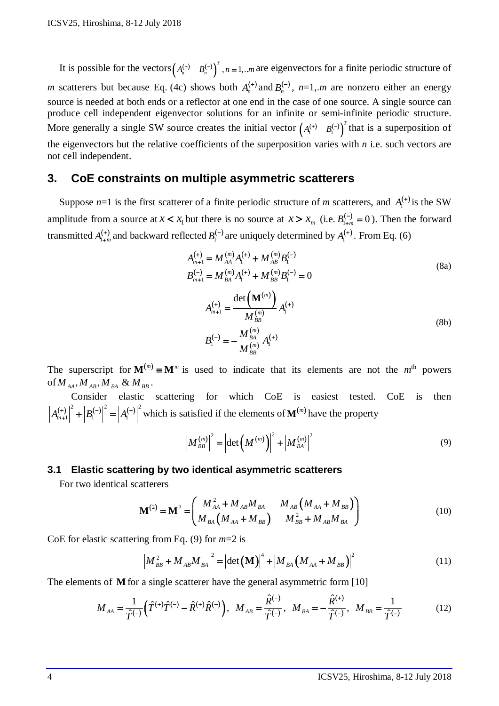It is possible for the vectors  $(A_n^{(+)} \quad B_n^{(-)} )^T$ ,  $n = 1,..m$  are eigenvectors for a finite periodic structure of *m* scatterers but because Eq. (4c) shows both  $A_n^{(+)}$  and  $B_n^{(-)}$ ,  $n=1, m$  are nonzero either an energy source is needed at both ends or a reflector at one end in the case of one source. A single source can produce cell independent eigenvector solutions for an infinite or semi-infinite periodic structure. More generally a single SW source creates the initial vector  $(A_i^{(+)} \t B_i^{(-)})^T$  that is a superposition of the eigenvectors but the relative coefficients of the superposition varies with *n* i.e. such vectors are not cell independent.

## **3. CoE constraints on multiple asymmetric scatterers**

Suppose  $n=1$  is the first scatterer of a finite periodic structure of *m* scatterers, and  $A_1^{(+)}$  is the SW amplitude from a source at  $x < x_1$  but there is no source at  $x > x_m$  (i.e.  $B_{1+m}^{(-)} = 0$ ). Then the forward transmitted  $A_{1+m}^{(+)}$  and backward reflected  $B_1^{(-)}$  are uniquely determined by  $A_1^{(+)}$ . From Eq. (6)

$$
A_{m+1}^{(+)} = M_{AA}^{(m)} A_1^{(+)} + M_{AB}^{(m)} B_1^{(-)}
$$
\n
$$
B_{m+1}^{(-)} = M_{BA}^{(m)} A_1^{(+)} + M_{BB}^{(m)} B_1^{(-)} = 0
$$
\n
$$
A_{m+1}^{(+)} = \frac{\det(\mathbf{M}^{(m)})}{M_{BB}^{(m)}} A_1^{(+)}
$$
\n
$$
B_1^{(-)} = -\frac{M_{BA}^{(m)}}{M_{BB}^{(m)}} A_1^{(+)}
$$
\n(8b)

The superscript for  $M^{(m)} \equiv M^m$  is used to indicate that its elements are not the  $m^{\text{th}}$  powers of  $M_{AA}$ ,  $M_{AB}$ ,  $M_{BA}$  &  $M_{BB}$ .

Consider elastic scattering for which CoE is easiest tested. CoE is then  $A_{m+1}^{(+)} \big|^{2} + |B_{1}^{(-)}|^{2} = |A_{1}^{(+)}|^{2}$  which is satisfied if the elements of  $\mathbf{M}^{(m)}$  have the property

$$
\left| M_{_{BB}}^{(m)} \right|^2 = \left| \det \left( M^{(m)} \right) \right|^2 + \left| M_{_{BA}}^{(m)} \right|^2 \tag{9}
$$

#### **3.1 Elastic scattering by two identical asymmetric scatterers**

For two identical scatterers

$$
\mathbf{M}^{(2)} = \mathbf{M}^2 = \begin{pmatrix} M_{AA}^2 + M_{AB} M_{BA} & M_{AB} (M_{AA} + M_{BB}) \\ M_{BA} (M_{AA} + M_{BB}) & M_{BB}^2 + M_{AB} M_{BA} \end{pmatrix}
$$
(10)

CoE for elastic scattering from Eq. (9) for *m*=2 is

$$
\left| M_{_{BB}}^{2} + M_{_{AB}} M_{_{BA}} \right|^{2} = \left| \det \left( \mathbf{M} \right) \right|^{4} + \left| M_{_{BA}} \left( M_{_{AA}} + M_{_{BB}} \right) \right|^{2} \tag{11}
$$

The elements of **M** for a single scatterer have the general asymmetric form [10]

$$
M_{AA} = \frac{1}{\hat{T}^{(-)}} \Big( \hat{T}^{(+)} \hat{T}^{(-)} - \hat{R}^{(+)} \hat{R}^{(-)} \Big), \quad M_{AB} = \frac{\hat{R}^{(-)}}{\hat{T}^{(-)}}, \quad M_{BA} = -\frac{\hat{R}^{(+)}}{\hat{T}^{(-)}}, \quad M_{BB} = \frac{1}{\hat{T}^{(-)}}
$$
(12)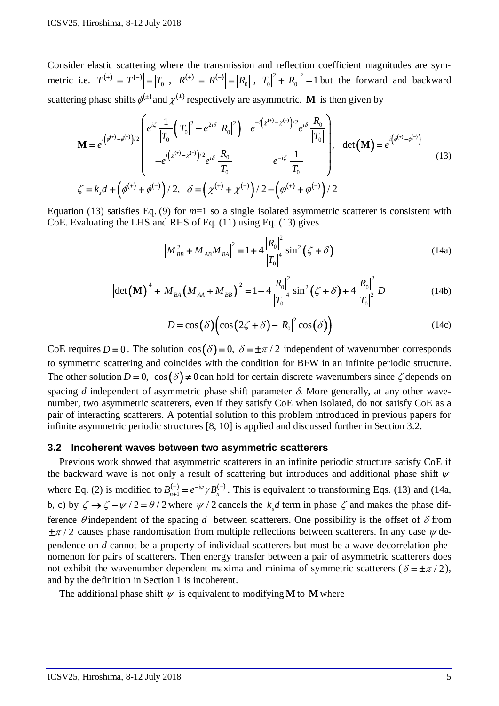Consider elastic scattering where the transmission and reflection coefficient magnitudes are symmetric i.e.  $|T^{(+)}| = |T^{(-)}| = |T_0|$ ,  $|R^{(+)}| = |R^{(-)}| = |R_0|$ ,  $|T_0|^2 + |R_0|^2 = 1$  but the forward and backward scattering phase shifts  $\phi^{(\pm)}$  and  $\chi^{(\pm)}$  respectively are asymmetric. **M** is then given by

$$
\mathbf{M} = e^{i(\phi^{(+)}-\phi^{(-)})/2} \begin{bmatrix} e^{i\zeta} \frac{1}{|T_0|} (|T_0|^2 - e^{2i\delta} |R_0|^2) & e^{-i(z^{(+)}-z^{(-)})/2} e^{i\delta} \frac{|R_0|}{|T_0|} \\ -e^{i(z^{(+)}-z^{(-)})/2} e^{i\delta} \frac{|R_0|}{|T_0|} & e^{-i\zeta} \frac{1}{|T_0|} \end{bmatrix}, \quad \det(\mathbf{M}) = e^{i(\phi^{(+)}-\phi^{(-)})} \tag{13}
$$
\n
$$
\zeta = k_s d + (\phi^{(+)} + \phi^{(-)})/2, \quad \delta = (\chi^{(+)} + \chi^{(-)})/2 - (\phi^{(+)} + \phi^{(-)})/2
$$

Equation (13) satisfies Eq. (9) for *m*=1 so a single isolated asymmetric scatterer is consistent with CoE. Evaluating the LHS and RHS of Eq. (11) using Eq. (13) gives

$$
\left| M_{_{BB}}^2 + M_{_{AB}} M_{_{BA}} \right|^2 = 1 + 4 \frac{\left| R_0 \right|^2}{\left| T_0 \right|^4} \sin^2 \left( \zeta + \delta \right)
$$
 (14a)

$$
\left|\det\left(\mathbf{M}\right)\right|^4 + \left|M_{BA}\left(M_{AA} + M_{BB}\right)\right|^2 = 1 + 4\frac{\left|R_0\right|^2}{\left|T_0\right|^4} \sin^2\left(\zeta + \delta\right) + 4\frac{\left|R_0\right|^2}{\left|T_0\right|^2} D \tag{14b}
$$

$$
D = \cos(\delta) \Big( \cos(2\zeta + \delta) - |R_0|^2 \cos(\delta) \Big)
$$
 (14c)

CoE requires  $D = 0$ . The solution  $\cos(\delta) = 0$ ,  $\delta = \pm \pi/2$  independent of wavenumber corresponds to symmetric scattering and coincides with the condition for BFW in an infinite periodic structure. The other solution  $D = 0$ ,  $\cos(\delta) \neq 0$  can hold for certain discrete wavenumbers since  $\zeta$  depends on spacing *d* independent of asymmetric phase shift parameter  $\delta$ . More generally, at any other wavenumber, two asymmetric scatterers, even if they satisfy CoE when isolated, do not satisfy CoE as a pair of interacting scatterers. A potential solution to this problem introduced in previous papers for infinite asymmetric periodic structures [8, 10] is applied and discussed further in Section 3.2.

#### **3.2 Incoherent waves between two asymmetric scatterers**

Previous work showed that asymmetric scatterers in an infinite periodic structure satisfy CoE if the backward wave is not only a result of scattering but introduces and additional phase shift  $\psi$ where Eq. (2) is modified to  $B_{n+1}^{(-)} = e^{-i\psi} \gamma B_n^{(-)}$ . This is equivalent to transforming Eqs. (13) and (14a, b, c) by  $\zeta \rightarrow \zeta - \psi / 2 = \theta / 2$  where  $\psi / 2$  cancels the *k<sub>s</sub>d* term in phase  $\zeta$  and makes the phase difference  $\theta$  independent of the spacing  $d$  between scatterers. One possibility is the offset of  $\delta$  from  $\pm \pi/2$  causes phase randomisation from multiple reflections between scatterers. In any case  $\psi$  dependence on *d* cannot be a property of individual scatterers but must be a wave decorrelation phenomenon for pairs of scatterers. Then energy transfer between a pair of asymmetric scatterers does not exhibit the wavenumber dependent maxima and minima of symmetric scatterers ( $\delta = \pm \pi / 2$ ), and by the definition in Section 1 is incoherent.

The additional phase shift  $\psi$  is equivalent to modifying **M** to  $\overline{M}$  where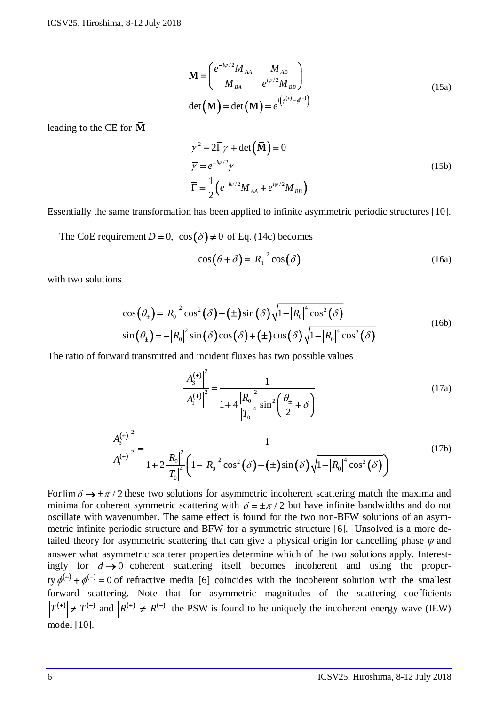$$
\overline{\mathbf{M}} = \begin{pmatrix} e^{-i\psi/2} M_{AA} & M_{AB} \\ M_{BA} & e^{i\psi/2} M_{BB} \end{pmatrix}
$$
\n
$$
\det(\overline{\mathbf{M}}) = \det(\mathbf{M}) = e^{i(\phi^{(+)}-\phi^{(-)})}
$$
\n(15a)

leading to the CE for **M**

$$
\overline{\gamma}^2 - 2\overline{\Gamma}\overline{\gamma} + \det(\overline{\mathbf{M}}) = 0
$$
  
\n
$$
\overline{\gamma} = e^{-i\psi/2}\gamma
$$
  
\n
$$
\overline{\Gamma} = \frac{1}{2} \Big( e^{-i\psi/2} M_{AA} + e^{i\psi/2} M_{BB} \Big)
$$
\n(15b)

Essentially the same transformation has been applied to infinite asymmetric periodic structures [10].

The CoE requirement  $D = 0$ ,  $\cos(\delta) \neq 0$  of Eq. (14c) becomes

$$
\cos(\theta + \delta) = |R_0|^2 \cos(\delta)
$$
 (16a)

with two solutions

$$
\cos(\theta_{\pm}) = |R_0|^2 \cos^2(\delta) + (\pm) \sin(\delta) \sqrt{1 - |R_0|^4 \cos^2(\delta)}
$$
  
\n
$$
\sin(\theta_{\pm}) = -|R_0|^2 \sin(\delta) \cos(\delta) + (\pm) \cos(\delta) \sqrt{1 - |R_0|^4 \cos^2(\delta)}
$$
\n(16b)

The ratio of forward transmitted and incident fluxes has two possible values

$$
\frac{\left|A_3^{(+)}\right|^2}{\left|A_1^{(+)}\right|^2} = \frac{1}{1 + 4\frac{\left|R_0\right|^2}{\left|T_0\right|^4} \sin^2\left(\frac{\theta_{\pm}}{2} + \delta\right)}
$$
(17a)

$$
\frac{\left|A_{3}^{(+)}\right|^{2}}{\left|A_{1}^{(+)}\right|^{2}} = \frac{1}{1 + 2\frac{\left|R_{0}\right|^{2}}{\left|T_{0}\right|^{4}} \left(1 - \left|R_{0}\right|^{2} \cos^{2}(\delta) + (\pm)\sin(\delta)\sqrt{1 - \left|R_{0}\right|^{4} \cos^{2}(\delta)}\right)}
$$
(17b)

For  $\lim_{\delta} \frac{\partial}{\partial t} \to \frac{\pm \pi}{2}$  these two solutions for asymmetric incoherent scattering match the maxima and minima for coherent symmetric scattering with  $\delta = \pm \pi/2$  but have infinite bandwidths and do not oscillate with wavenumber. The same effect is found for the two non-BFW solutions of an asymmetric infinite periodic structure and BFW for a symmetric structure [6]. Unsolved is a more detailed theory for asymmetric scattering that can give a physical origin for cancelling phase  $\psi$  and answer what asymmetric scatterer properties determine which of the two solutions apply. Interestingly for  $d \rightarrow 0$  coherent scattering itself becomes incoherent and using the property  $\phi^{(+)} + \phi^{(-)} = 0$  of refractive media [6] coincides with the incoherent solution with the smallest forward scattering. Note that for asymmetric magnitudes of the scattering coefficients  $|T^{(+)}| \neq |T^{(-)}|$  and  $|R^{(+)}| \neq |R^{(-)}|$  the PSW is found to be uniquely the incoherent energy wave (IEW) model [10].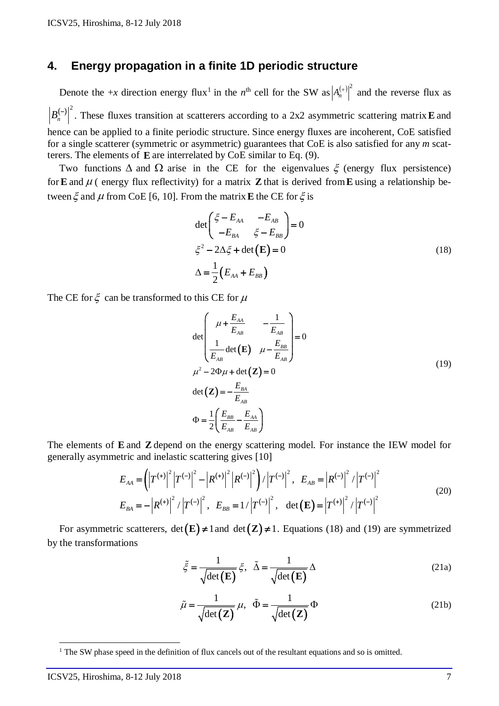## **4. Energy propagation in a finite 1D periodic structure**

Denote the +*x* direction energy flux<sup>[1](#page-7-0)</sup> in the *n*<sup>th</sup> cell for the SW as  $|A_n^{(+)}|^2$  and the reverse flux as  $B_n^{(-)}$ . These fluxes transition at scatterers according to a 2x2 asymmetric scattering matrix **E** and hence can be applied to a finite periodic structure. Since energy fluxes are incoherent, CoE satisfied for a single scatterer (symmetric or asymmetric) guarantees that CoE is also satisfied for any *m* scatterers. The elements of **E** are interrelated by CoE similar to Eq. (9).

Two functions  $\Delta$  and  $\Omega$  arise in the CE for the eigenvalues  $\xi$  (energy flux persistence) for **E** and  $\mu$  ( energy flux reflectivity) for a matrix **Z** that is derived from **E** using a relationship between  $\xi$  and  $\mu$  from CoE [6, 10]. From the matrix **E** the CE for  $\xi$  is

$$
\det\begin{pmatrix} \xi - E_{AA} & -E_{AB} \\ -E_{BA} & \xi - E_{BB} \end{pmatrix} = 0
$$
\n
$$
\xi^2 - 2\Delta\xi + \det\left(\mathbf{E}\right) = 0
$$
\n
$$
\Delta = \frac{1}{2} \left( E_{AA} + E_{BB} \right) \tag{18}
$$

The CE for  $\xi$  can be transformed to this CE for  $\mu$ 

$$
\det\begin{pmatrix}\n\mu + \frac{E_{AA}}{E_{AB}} & -\frac{1}{E_{AB}} \\
\frac{1}{E_{AB}} \det(\mathbf{E}) & \mu - \frac{E_{BB}}{E_{AB}}\n\end{pmatrix} = 0
$$
\n
$$
\mu^2 - 2\Phi\mu + \det(\mathbf{Z}) = 0
$$
\n
$$
\det(\mathbf{Z}) = -\frac{E_{BA}}{E_{AB}}
$$
\n
$$
\Phi = \frac{1}{2} \left( \frac{E_{BB}}{E_{AB}} - \frac{E_{AA}}{E_{AB}} \right)
$$
\n(19)

The elements of **E** and **Z** depend on the energy scattering model. For instance the IEW model for generally asymmetric and inelastic scattering gives [10]

$$
E_{AA} = \left( \left| T^{(+)} \right|^2 \left| T^{(-)} \right|^2 - \left| R^{(+)} \right|^2 \left| R^{(-)} \right|^2 \right) / \left| T^{(-)} \right|^2, \quad E_{AB} = \left| R^{(-)} \right|^2 / \left| T^{(-)} \right|^2
$$
  
\n
$$
E_{BA} = - \left| R^{(+)} \right|^2 / \left| T^{(-)} \right|^2, \quad E_{BB} = 1 / \left| T^{(-)} \right|^2, \quad \det(\mathbf{E}) = \left| T^{(+)} \right|^2 / \left| T^{(-)} \right|^2
$$
\n(20)

For asymmetric scatterers,  $det(\mathbf{E}) \neq 1$  and  $det(\mathbf{Z}) \neq 1$ . Equations (18) and (19) are symmetrized by the transformations

$$
\tilde{\xi} = \frac{1}{\sqrt{\det(\mathbf{E})}} \xi, \quad \tilde{\Delta} = \frac{1}{\sqrt{\det(\mathbf{E})}} \Delta
$$
\n(21a)

$$
\tilde{\mu} = \frac{1}{\sqrt{\det(\mathbf{Z})}} \mu, \quad \tilde{\Phi} = \frac{1}{\sqrt{\det(\mathbf{Z})}} \Phi \tag{21b}
$$

 $\overline{a}$ 

<sup>&</sup>lt;sup>1</sup> The SW phase speed in the definition of flux cancels out of the resultant equations and so is omitted.